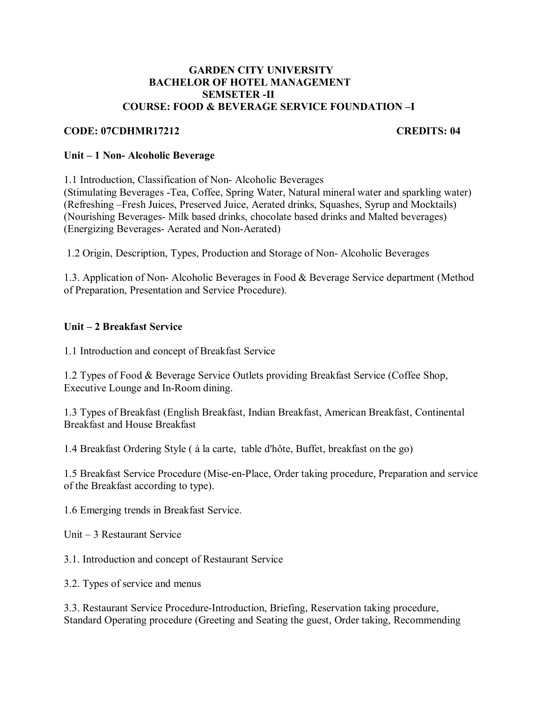#### **GARDEN CITY UNIVERSITY BACHELOR OF HOTEL MANAGEMENT SEMSETER -II COURSE: FOOD & BEVERAGE SERVICE FOUNDATION –I**

#### **CODE: 07CDHMR17212 CREDITS: 04**

#### **Unit – 1 Non- Alcoholic Beverage**

1.1 Introduction, Classification of Non- Alcoholic Beverages (Stimulating Beverages -Tea, Coffee, Spring Water, Natural mineral water and sparkling water) (Refreshing –Fresh Juices, Preserved Juice, Aerated drinks, Squashes, Syrup and Mocktails) (Nourishing Beverages- Milk based drinks, chocolate based drinks and Malted beverages) (Energizing Beverages- Aerated and Non-Aerated)

1.2 Origin, Description, Types, Production and Storage of Non- Alcoholic Beverages

1.3. Application of Non- Alcoholic Beverages in Food & Beverage Service department (Method of Preparation, Presentation and Service Procedure).

# **Unit – 2 Breakfast Service**

1.1 Introduction and concept of Breakfast Service

1.2 Types of Food & Beverage Service Outlets providing Breakfast Service (Coffee Shop, Executive Lounge and In-Room dining.

1.3 Types of Breakfast (English Breakfast, Indian Breakfast, American Breakfast, Continental Breakfast and House Breakfast

1.4 Breakfast Ordering Style ( à la carte, table d'hôte, Buffet, breakfast on the go)

1.5 Breakfast Service Procedure (Mise-en-Place, Order taking procedure, Preparation and service of the Breakfast according to type).

1.6 Emerging trends in Breakfast Service.

Unit – 3 Restaurant Service

3.1. Introduction and concept of Restaurant Service

3.2. Types of service and menus

3.3. Restaurant Service Procedure-Introduction, Briefing, Reservation taking procedure, Standard Operating procedure (Greeting and Seating the guest, Order taking, Recommending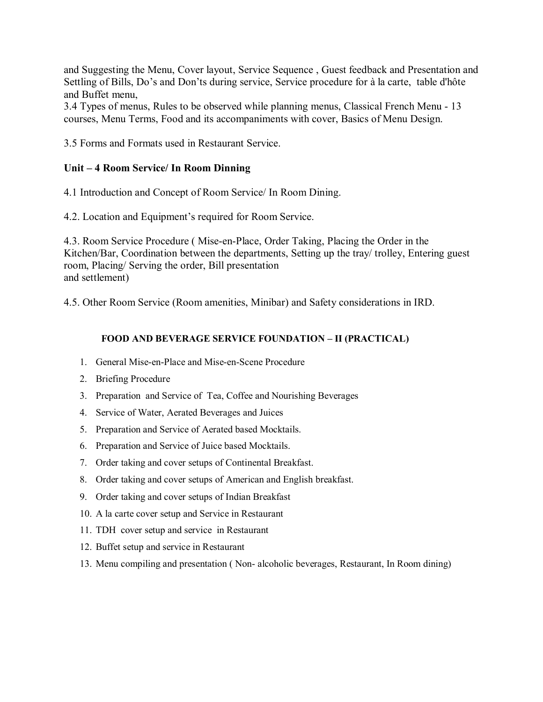and Suggesting the Menu, Cover layout, Service Sequence , Guest feedback and Presentation and Settling of Bills, Do's and Don'ts during service, Service procedure for à la carte, table d'hôte and Buffet menu,

3.4 Types of menus, Rules to be observed while planning menus, Classical French Menu - 13 courses, Menu Terms, Food and its accompaniments with cover, Basics of Menu Design.

3.5 Forms and Formats used in Restaurant Service.

### **Unit – 4 Room Service/ In Room Dinning**

4.1 Introduction and Concept of Room Service/ In Room Dining.

4.2. Location and Equipment's required for Room Service.

4.3. Room Service Procedure ( Mise-en-Place, Order Taking, Placing the Order in the Kitchen/Bar, Coordination between the departments, Setting up the tray/ trolley, Entering guest room, Placing/ Serving the order, Bill presentation and settlement)

4.5. Other Room Service (Room amenities, Minibar) and Safety considerations in IRD.

#### **FOOD AND BEVERAGE SERVICE FOUNDATION – II (PRACTICAL)**

- 1. General Mise-en-Place and Mise-en-Scene Procedure
- 2. Briefing Procedure
- 3. Preparation and Service of Tea, Coffee and Nourishing Beverages
- 4. Service of Water, Aerated Beverages and Juices
- 5. Preparation and Service of Aerated based Mocktails.
- 6. Preparation and Service of Juice based Mocktails.
- 7. Order taking and cover setups of Continental Breakfast.
- 8. Order taking and cover setups of American and English breakfast.
- 9. Order taking and cover setups of Indian Breakfast
- 10. A la carte cover setup and Service in Restaurant
- 11. TDH cover setup and service in Restaurant
- 12. Buffet setup and service in Restaurant
- 13. Menu compiling and presentation ( Non- alcoholic beverages, Restaurant, In Room dining)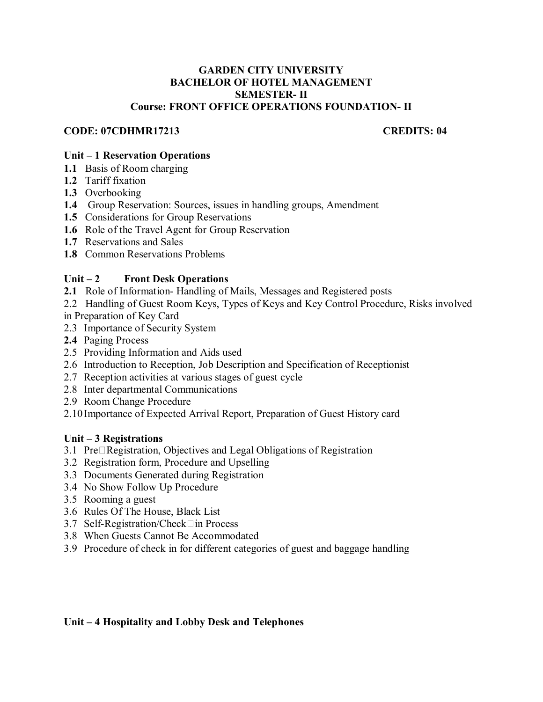#### **GARDEN CITY UNIVERSITY BACHELOR OF HOTEL MANAGEMENT SEMESTER- II Course: FRONT OFFICE OPERATIONS FOUNDATION- II**

### **CODE: 07CDHMR17213 CREDITS: 04**

### **Unit – 1 Reservation Operations**

- **1.1** Basis of Room charging
- **1.2** Tariff fixation
- **1.3** Overbooking
- **1.4** Group Reservation: Sources, issues in handling groups, Amendment
- **1.5** Considerations for Group Reservations
- **1.6** Role of the Travel Agent for Group Reservation
- **1.7** Reservations and Sales
- **1.8** Common Reservations Problems

### **Unit – 2 Front Desk Operations**

- **2.1** Role of Information- Handling of Mails, Messages and Registered posts
- 2.2 Handling of Guest Room Keys, Types of Keys and Key Control Procedure, Risks involved in Preparation of Key Card
- 2.3 Importance of Security System
- **2.4** Paging Process
- 2.5 Providing Information and Aids used
- 2.6 Introduction to Reception, Job Description and Specification of Receptionist
- 2.7 Reception activities at various stages of guest cycle
- 2.8 Inter departmental Communications
- 2.9 Room Change Procedure
- 2.10 Importance of Expected Arrival Report, Preparation of Guest History card

#### **Unit – 3 Registrations**

- 3.1 Pre□Registration, Objectives and Legal Obligations of Registration
- 3.2 Registration form, Procedure and Upselling
- 3.3 Documents Generated during Registration
- 3.4 No Show Follow Up Procedure
- 3.5 Rooming a guest
- 3.6 Rules Of The House, Black List
- 3.7 Self-Registration/Check□in Process
- 3.8 When Guests Cannot Be Accommodated
- 3.9 Procedure of check in for different categories of guest and baggage handling

# **Unit – 4 Hospitality and Lobby Desk and Telephones**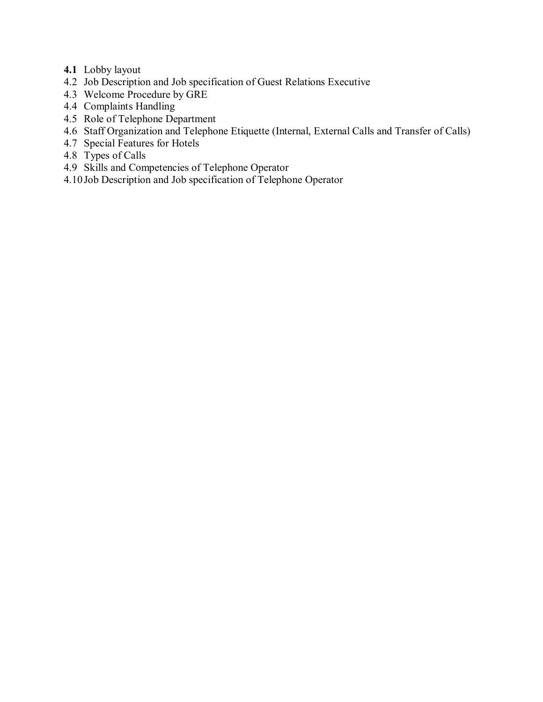- **4.1** Lobby layout
- 4.2 Job Description and Job specification of Guest Relations Executive
- 4.3 Welcome Procedure by GRE
- 4.4 Complaints Handling
- 4.5 Role of Telephone Department
- 4.6 Staff Organization and Telephone Etiquette (Internal, External Calls and Transfer of Calls)
- 4.7 Special Features for Hotels
- 4.8 Types of Calls
- 4.9 Skills and Competencies of Telephone Operator
- 4.10 Job Description and Job specification of Telephone Operator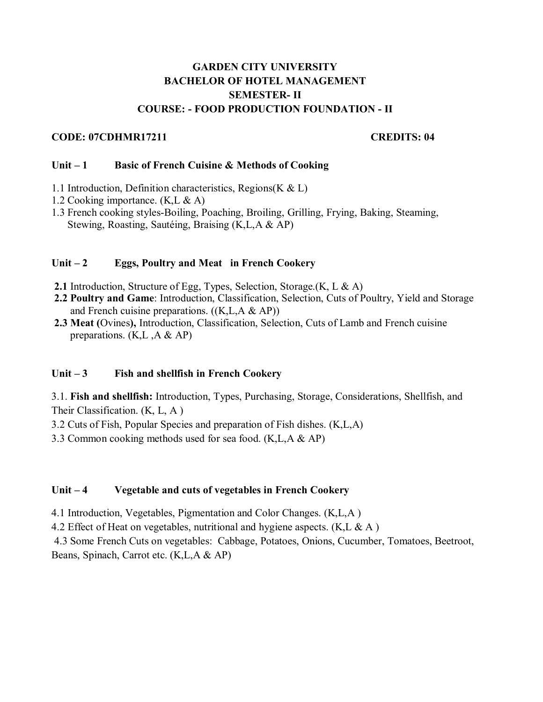# **GARDEN CITY UNIVERSITY BACHELOR OF HOTEL MANAGEMENT SEMESTER- II COURSE: - FOOD PRODUCTION FOUNDATION - II**

### **CODE: 07CDHMR17211 CREDITS: 04**

#### Unit – 1 Basic of French Cuisine & Methods of Cooking

- 1.1 Introduction, Definition characteristics, Regions( $K & L$ )
- 1.2 Cooking importance. (K,L & A)
- 1.3 French cooking styles-Boiling, Poaching, Broiling, Grilling, Frying, Baking, Steaming, Stewing, Roasting, Sautéing, Braising (K,L,A & AP)

### Unit – 2 Eggs, Poultry and Meat in French Cookery

- **2.1** Introduction, Structure of Egg, Types, Selection, Storage.(K, L & A)
- **2.2 Poultry and Game**: Introduction, Classification, Selection, Cuts of Poultry, Yield and Storage and French cuisine preparations.  $((K,L,A \& AP))$
- **2.3 Meat (**Ovines**),** Introduction, Classification, Selection, Cuts of Lamb and French cuisine preparations.  $(K,L, A \& AP)$

# Unit – 3 Fish and shellfish in French Cookery

3.1. **Fish and shellfish:** Introduction, Types, Purchasing, Storage, Considerations, Shellfish, and Their Classification. (K, L, A )

3.2 Cuts of Fish, Popular Species and preparation of Fish dishes. (K,L,A)

3.3 Common cooking methods used for sea food. (K,L,A & AP)

# **Unit – 4 Vegetable and cuts of vegetables in French Cookery**

4.1 Introduction, Vegetables, Pigmentation and Color Changes. (K,L,A )

4.2 Effect of Heat on vegetables, nutritional and hygiene aspects.  $(K, L, \& A)$ 

 4.3 Some French Cuts on vegetables: Cabbage, Potatoes, Onions, Cucumber, Tomatoes, Beetroot, Beans, Spinach, Carrot etc. (K,L,A & AP)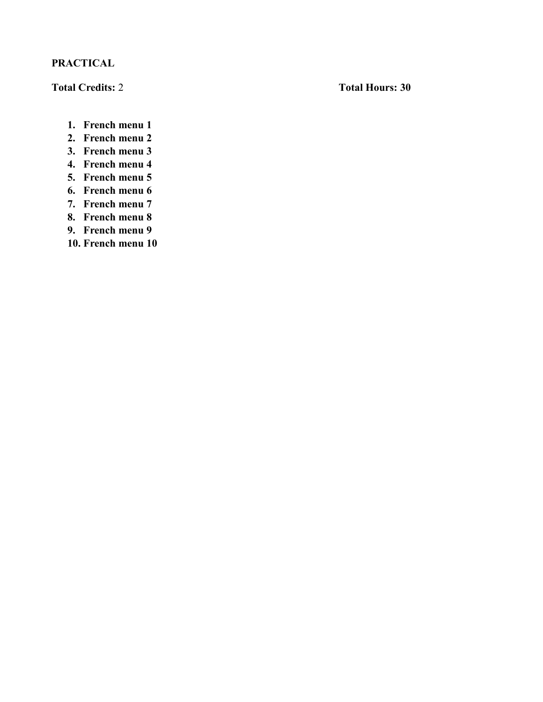# **PRACTICAL**

**Total Credits:** 2 **Total Hours: 30** 

- **1. French menu 1**
- **2. French menu 2**
- **3. French menu 3**
- **4. French menu 4**
- **5. French menu 5**
- **6. French menu 6**
- **7. French menu 7**
- **8. French menu 8**
- **9. French menu 9**
- **10. French menu 10**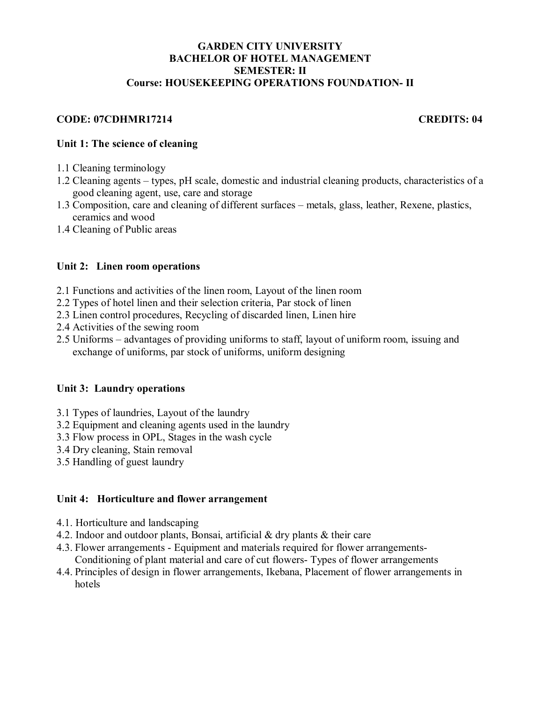# **GARDEN CITY UNIVERSITY BACHELOR OF HOTEL MANAGEMENT SEMESTER: II Course: HOUSEKEEPING OPERATIONS FOUNDATION- II**

# **CODE: 07CDHMR17214 CREDITS: 04**

# **Unit 1: The science of cleaning**

- 1.1 Cleaning terminology
- 1.2 Cleaning agents types, pH scale, domestic and industrial cleaning products, characteristics of a good cleaning agent, use, care and storage
- 1.3 Composition, care and cleaning of different surfaces metals, glass, leather, Rexene, plastics, ceramics and wood
- 1.4 Cleaning of Public areas

# **Unit 2: Linen room operations**

- 2.1 Functions and activities of the linen room, Layout of the linen room
- 2.2 Types of hotel linen and their selection criteria, Par stock of linen
- 2.3 Linen control procedures, Recycling of discarded linen, Linen hire
- 2.4 Activities of the sewing room
- 2.5 Uniforms advantages of providing uniforms to staff, layout of uniform room, issuing and exchange of uniforms, par stock of uniforms, uniform designing

# **Unit 3: Laundry operations**

- 3.1 Types of laundries, Layout of the laundry
- 3.2 Equipment and cleaning agents used in the laundry
- 3.3 Flow process in OPL, Stages in the wash cycle
- 3.4 Dry cleaning, Stain removal
- 3.5 Handling of guest laundry

#### **Unit 4: Horticulture and flower arrangement**

- 4.1. Horticulture and landscaping
- 4.2. Indoor and outdoor plants, Bonsai, artificial & dry plants & their care
- 4.3. Flower arrangements Equipment and materials required for flower arrangements-Conditioning of plant material and care of cut flowers- Types of flower arrangements
- 4.4. Principles of design in flower arrangements, Ikebana, Placement of flower arrangements in hotels